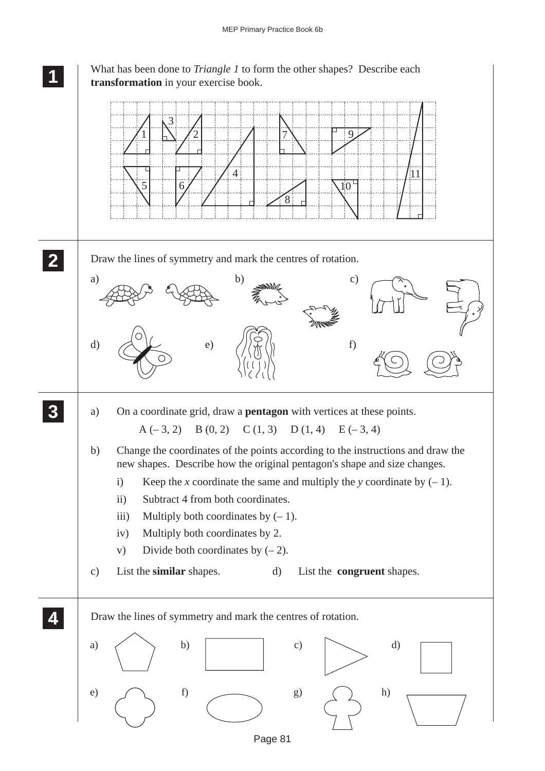

Page 81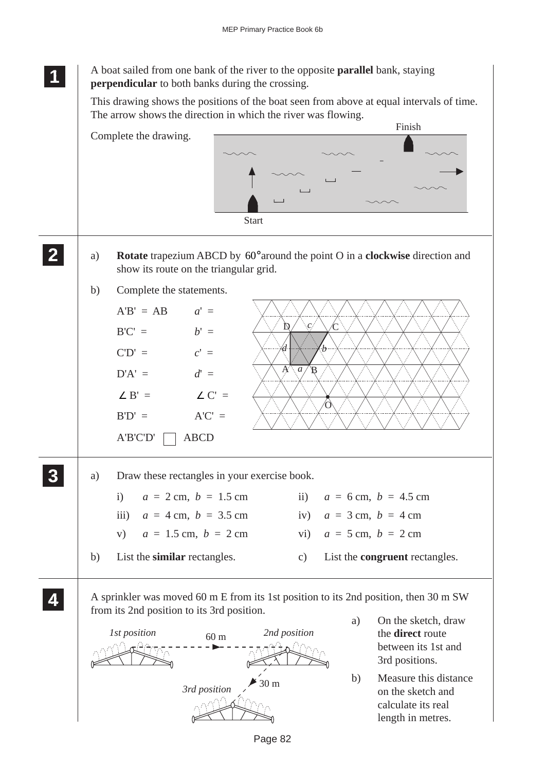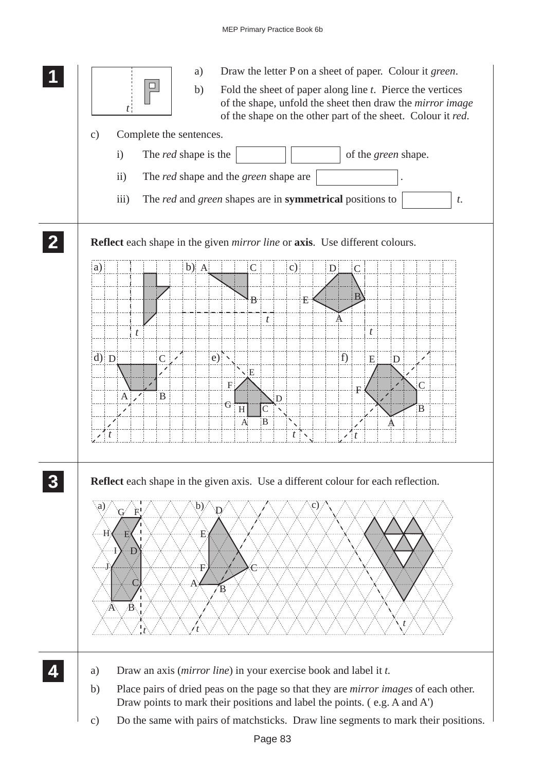## MEP Primary Practice Book 6b

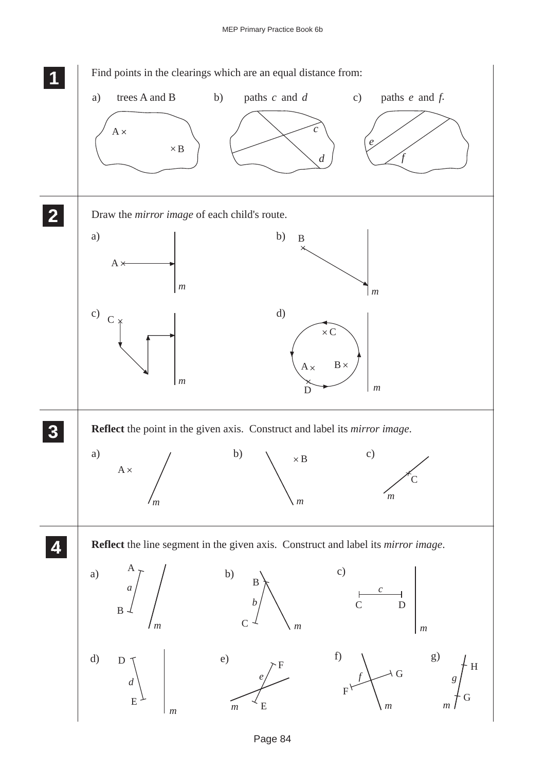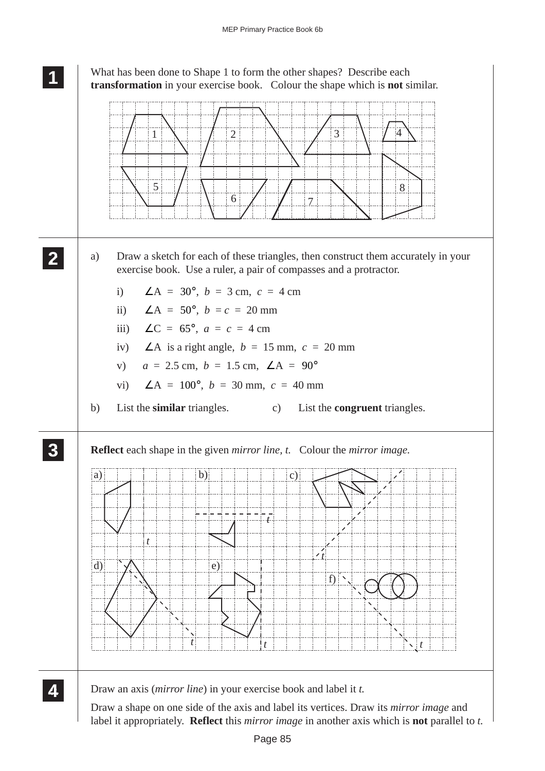## **1 11**

What has been done to Shape 1 to form the other shapes? Describe each **transformation** in your exercise book. Colour the shape which is **not** similar.

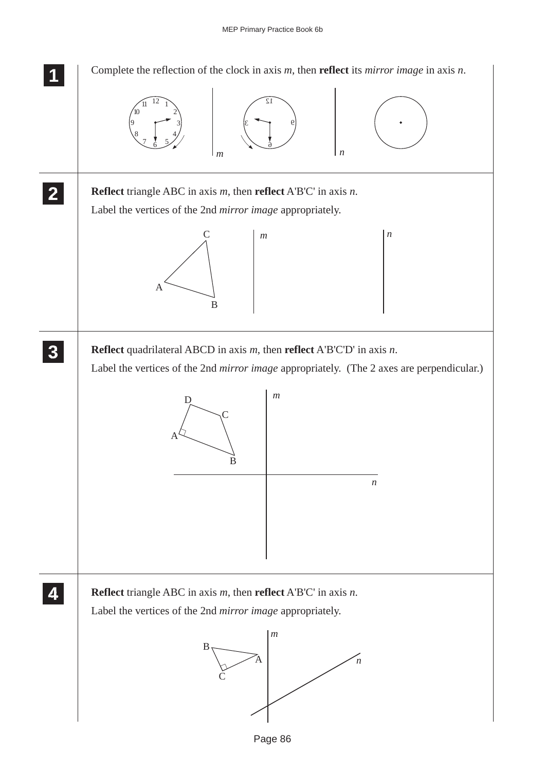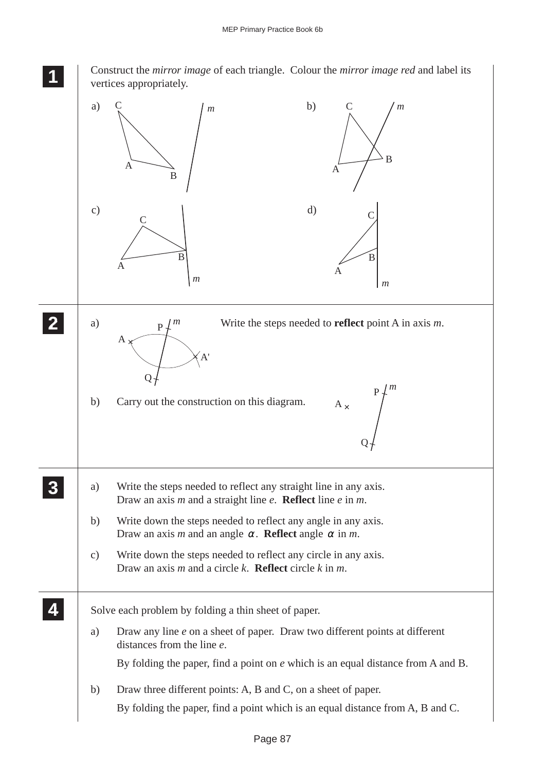Construct the *mirror image* of each triangle. Colour the *mirror image red* and label its vertices appropriately.

**1 11 11**

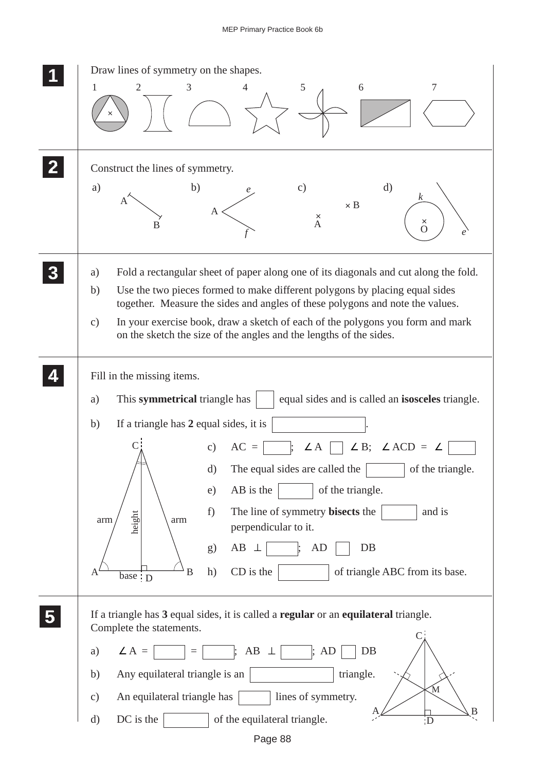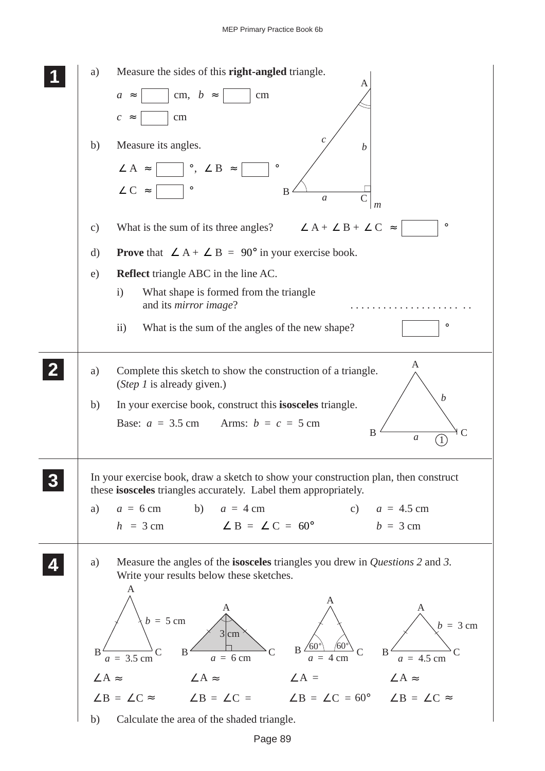| a)<br>b)             | Measure the sides of this right-angled triangle.<br>Α<br>cm, $b \approx$<br>$\rm cm$<br>$a \approx$<br>cm<br>$\mathcal{C}_{\mathcal{C}}$<br>$\approx$<br>с<br>Measure its angles.<br>$\boldsymbol{b}$<br>$\angle A \approx$ $\Box$ °, $\angle B \approx$<br>$\circ$<br>$\angle C$ =<br>$\, {\bf B}$<br>$\mathfrak a$                                  |
|----------------------|-------------------------------------------------------------------------------------------------------------------------------------------------------------------------------------------------------------------------------------------------------------------------------------------------------------------------------------------------------|
| c)<br>$\rm d)$       | m<br>$\circ$<br>What is the sum of its three angles? $\angle A + \angle B + \angle C \approx$<br><b>Prove</b> that $\angle A + \angle B = 90^{\circ}$ in your exercise book.                                                                                                                                                                          |
| e)                   | <b>Reflect</b> triangle ABC in the line AC.                                                                                                                                                                                                                                                                                                           |
|                      | What shape is formed from the triangle<br>$\mathbf{i}$<br>and its <i>mirror</i> image?<br>.                                                                                                                                                                                                                                                           |
|                      | $\circ$<br>$\rm ii)$<br>What is the sum of the angles of the new shape?                                                                                                                                                                                                                                                                               |
| a)                   | A<br>Complete this sketch to show the construction of a triangle.<br>(Step 1 is already given.)                                                                                                                                                                                                                                                       |
| b)                   | b<br>In your exercise book, construct this isosceles triangle.<br>Base: $a = 3.5$ cm Arms: $b = c = 5$ cm<br>B<br>$\mathfrak a$                                                                                                                                                                                                                       |
| a)                   | In your exercise book, draw a sketch to show your construction plan, then construct<br>these isosceles triangles accurately. Label them appropriately.<br>$a = 6$ cm b) $a = 4$ cm<br>c) $a = 4.5$ cm<br>$h = 3$ cm $\angle B = \angle C = 60^{\circ}$<br>$b = 3$ cm                                                                                  |
| a)<br>B              | Measure the angles of the <b>isosceles</b> triangles you drew in <i>Questions</i> 2 and 3.<br>Write your results below these sketches.<br>A<br>A<br>A<br>А<br>$b = 5$ cm<br>$b = 3$ cm<br>$3 \text{cm}^3$<br>$\sqrt{60^\circ}$<br>$B \frac{1}{60^{\circ}}$<br>$\mathcal{C}$<br>$B$ .<br>B<br>$a = 3.5$ cm<br>$a = 4.5$ cm<br>$a = 6$ cm<br>$a = 4$ cm |
| $\angle A$ $\approx$ | $\angle A$ $\approx$<br>$\angle A =$<br>$\angle A$ $\approx$                                                                                                                                                                                                                                                                                          |
|                      | $\angle B = \angle C \approx$ $\angle B = \angle C =$ $\angle B = \angle C = 60^{\circ}$ $\angle B = \angle C \approx$                                                                                                                                                                                                                                |
| b)                   | Calculate the area of the shaded triangle.                                                                                                                                                                                                                                                                                                            |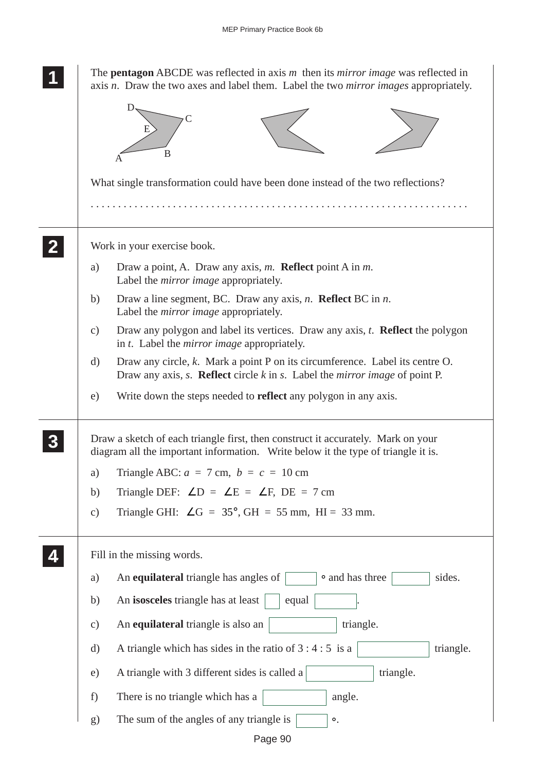|               | The <b>pentagon</b> ABCDE was reflected in axis $m$ then its <i>mirror image</i> was reflected in<br>axis n. Draw the two axes and label them. Label the two <i>mirror images</i> appropriately. |  |  |  |  |  |  |  |
|---------------|--------------------------------------------------------------------------------------------------------------------------------------------------------------------------------------------------|--|--|--|--|--|--|--|
|               | B                                                                                                                                                                                                |  |  |  |  |  |  |  |
|               | What single transformation could have been done instead of the two reflections?                                                                                                                  |  |  |  |  |  |  |  |
|               | Work in your exercise book.                                                                                                                                                                      |  |  |  |  |  |  |  |
| a)            | Draw a point, A. Draw any axis, m. <b>Reflect</b> point A in m.<br>Label the <i>mirror image</i> appropriately.                                                                                  |  |  |  |  |  |  |  |
| b)            | Draw a line segment, BC. Draw any axis, $n$ . <b>Reflect</b> BC in $n$ .<br>Label the <i>mirror image</i> appropriately.                                                                         |  |  |  |  |  |  |  |
| $\mathbf{c})$ | Draw any polygon and label its vertices. Draw any axis, t. <b>Reflect</b> the polygon<br>in t. Label the <i>mirror image</i> appropriately.                                                      |  |  |  |  |  |  |  |
| $\rm d)$      | Draw any circle, $k$ . Mark a point $P$ on its circumference. Label its centre $O$ .<br>Draw any axis, $s$ . <b>Reflect</b> circle $k$ in $s$ . Label the <i>mirror image</i> of point P.        |  |  |  |  |  |  |  |
| e)            | Write down the steps needed to <b>reflect</b> any polygon in any axis.                                                                                                                           |  |  |  |  |  |  |  |
|               | Draw a sketch of each triangle first, then construct it accurately. Mark on your<br>diagram all the important information. Write below it the type of triangle it is.                            |  |  |  |  |  |  |  |
| a)            | Triangle ABC: $a = 7$ cm, $b = c = 10$ cm                                                                                                                                                        |  |  |  |  |  |  |  |
| b)            | Triangle DEF: $\angle D = \angle E = \angle F$ , DE = 7 cm                                                                                                                                       |  |  |  |  |  |  |  |
| $\mathbf{c})$ | Triangle GHI: $\angle G = 35^{\circ}$ , GH = 55 mm, HI = 33 mm.                                                                                                                                  |  |  |  |  |  |  |  |
|               | Fill in the missing words.                                                                                                                                                                       |  |  |  |  |  |  |  |
| a)            | • and has three<br>An equilateral triangle has angles of<br>sides.                                                                                                                               |  |  |  |  |  |  |  |
| b)            | An isosceles triangle has at least<br>equal                                                                                                                                                      |  |  |  |  |  |  |  |
| c)            | An equilateral triangle is also an<br>triangle.                                                                                                                                                  |  |  |  |  |  |  |  |
| $\rm d)$      | A triangle which has sides in the ratio of $3:4:5$ is a<br>triangle.                                                                                                                             |  |  |  |  |  |  |  |
| e)            | A triangle with 3 different sides is called a<br>triangle.                                                                                                                                       |  |  |  |  |  |  |  |
| f)            | There is no triangle which has a<br>angle.                                                                                                                                                       |  |  |  |  |  |  |  |
| g)            | The sum of the angles of any triangle is<br>$\circ$ .                                                                                                                                            |  |  |  |  |  |  |  |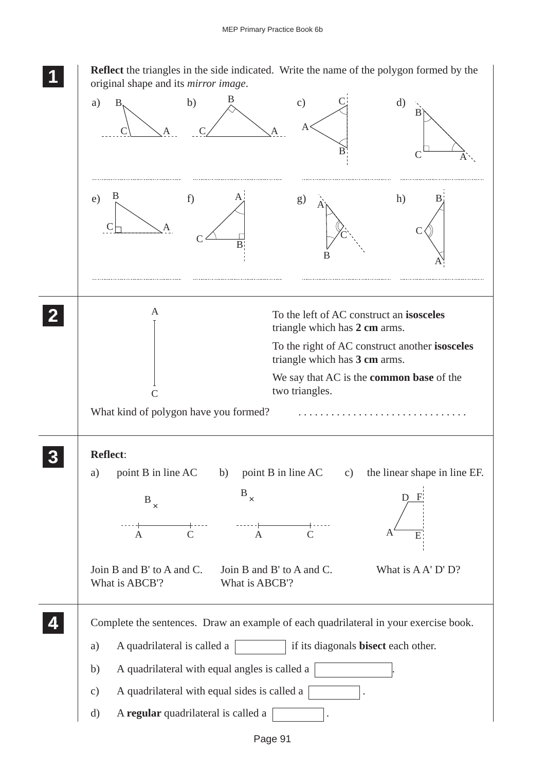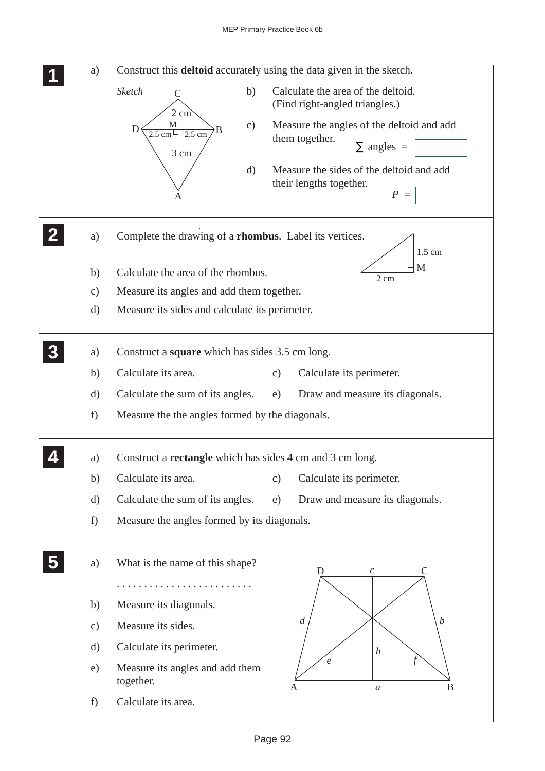| a)            | Construct this <b>deltoid</b> accurately using the data given in the sketch.                                                                                                       |  |  |  |  |  |  |  |  |  |  |
|---------------|------------------------------------------------------------------------------------------------------------------------------------------------------------------------------------|--|--|--|--|--|--|--|--|--|--|
|               | Calculate the area of the deltoid.<br>Sketch<br>b)<br>$\mathcal{C}$<br>(Find right-angled triangles.)<br>$2 \mid \text{cm}$                                                        |  |  |  |  |  |  |  |  |  |  |
|               | Measure the angles of the deltoid and add<br>$M_{\square}$<br>$\mathbf{c})$<br>Ð<br>B<br>$2.5$ cm<br>$2.5 \text{ cm}$<br>them together.<br>$\Sigma$ angles =<br>$3 \, \mathrm{cm}$ |  |  |  |  |  |  |  |  |  |  |
|               | $\mathrm{d}$<br>Measure the sides of the deltoid and add<br>their lengths together.<br>$P =$                                                                                       |  |  |  |  |  |  |  |  |  |  |
| a)            | Complete the drawing of a <b>rhombus</b> . Label its vertices.<br>$1.5$ cm                                                                                                         |  |  |  |  |  |  |  |  |  |  |
| b)            | M<br>Calculate the area of the rhombus.                                                                                                                                            |  |  |  |  |  |  |  |  |  |  |
| $\mathbf{c})$ | 2 cm<br>Measure its angles and add them together.                                                                                                                                  |  |  |  |  |  |  |  |  |  |  |
| d)            | Measure its sides and calculate its perimeter.                                                                                                                                     |  |  |  |  |  |  |  |  |  |  |
| a)            | Construct a <b>square</b> which has sides 3.5 cm long.                                                                                                                             |  |  |  |  |  |  |  |  |  |  |
| b)            | Calculate its area.<br>Calculate its perimeter.<br>$\mathbf{c})$                                                                                                                   |  |  |  |  |  |  |  |  |  |  |
| $\rm d)$      | Calculate the sum of its angles.<br>Draw and measure its diagonals.<br>e)                                                                                                          |  |  |  |  |  |  |  |  |  |  |
| f)            | Measure the the angles formed by the diagonals.                                                                                                                                    |  |  |  |  |  |  |  |  |  |  |
| a)            | Construct a <b>rectangle</b> which has sides 4 cm and 3 cm long.                                                                                                                   |  |  |  |  |  |  |  |  |  |  |
| b)            | Calculate its area.<br>Calculate its perimeter.<br>$\mathbf{c})$                                                                                                                   |  |  |  |  |  |  |  |  |  |  |
| $\mathbf{d}$  | Calculate the sum of its angles.<br>Draw and measure its diagonals.<br>e)                                                                                                          |  |  |  |  |  |  |  |  |  |  |
| f)            | Measure the angles formed by its diagonals.                                                                                                                                        |  |  |  |  |  |  |  |  |  |  |
| a)            | What is the name of this shape?<br>D<br>$\mathcal C$                                                                                                                               |  |  |  |  |  |  |  |  |  |  |
| b)            | Measure its diagonals.                                                                                                                                                             |  |  |  |  |  |  |  |  |  |  |
|               | $\overline{d}$<br>$\boldsymbol{b}$<br>Measure its sides.                                                                                                                           |  |  |  |  |  |  |  |  |  |  |
| $\mathbf{c})$ |                                                                                                                                                                                    |  |  |  |  |  |  |  |  |  |  |
| $\rm d)$      | Calculate its perimeter.<br>$\boldsymbol{h}$<br>$\epsilon$                                                                                                                         |  |  |  |  |  |  |  |  |  |  |
| e)            | Measure its angles and add them<br>together.<br>B<br>A<br>$\boldsymbol{a}$                                                                                                         |  |  |  |  |  |  |  |  |  |  |
| f)            | Calculate its area.                                                                                                                                                                |  |  |  |  |  |  |  |  |  |  |
|               |                                                                                                                                                                                    |  |  |  |  |  |  |  |  |  |  |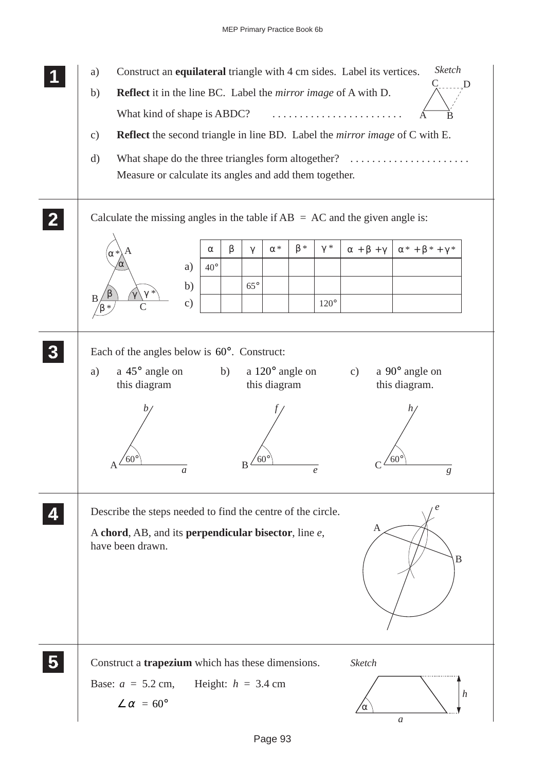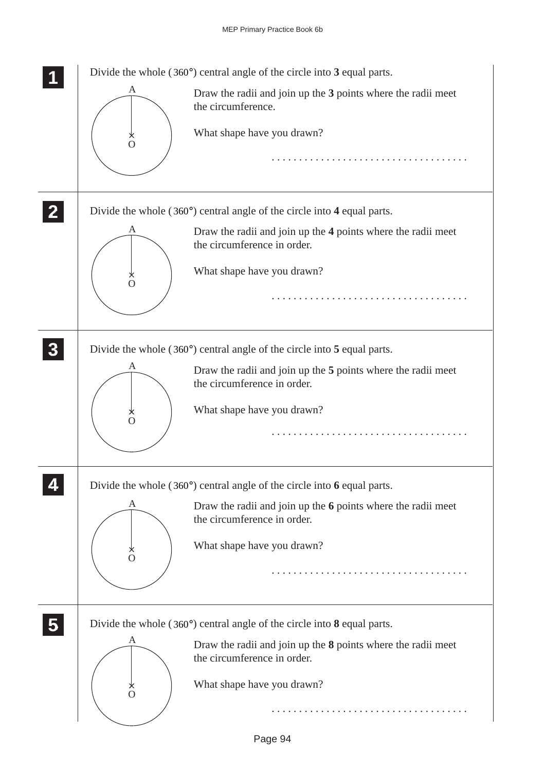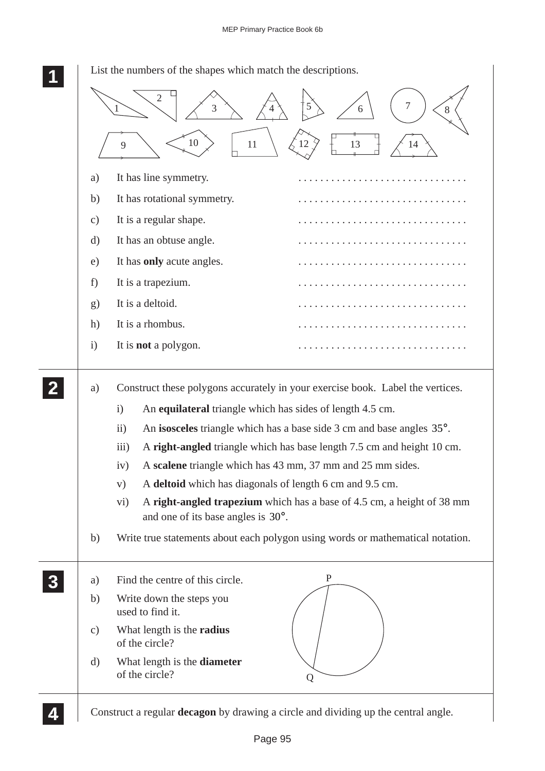|               | List the numbers of the shapes which match the descriptions.                                                                                                                                                                                                                                                                                                                                                                                                                                                                                                                                                                                                                                                  |
|---------------|---------------------------------------------------------------------------------------------------------------------------------------------------------------------------------------------------------------------------------------------------------------------------------------------------------------------------------------------------------------------------------------------------------------------------------------------------------------------------------------------------------------------------------------------------------------------------------------------------------------------------------------------------------------------------------------------------------------|
|               | 3<br>1<br>8<br>6                                                                                                                                                                                                                                                                                                                                                                                                                                                                                                                                                                                                                                                                                              |
|               | 10<br>13<br>11<br>12<br>9<br>14                                                                                                                                                                                                                                                                                                                                                                                                                                                                                                                                                                                                                                                                               |
| a)            | It has line symmetry.                                                                                                                                                                                                                                                                                                                                                                                                                                                                                                                                                                                                                                                                                         |
| b)            | It has rotational symmetry.<br>.                                                                                                                                                                                                                                                                                                                                                                                                                                                                                                                                                                                                                                                                              |
| $\mathbf{c})$ | It is a regular shape.                                                                                                                                                                                                                                                                                                                                                                                                                                                                                                                                                                                                                                                                                        |
| d)            | It has an obtuse angle.<br>.                                                                                                                                                                                                                                                                                                                                                                                                                                                                                                                                                                                                                                                                                  |
| e)            | It has only acute angles.                                                                                                                                                                                                                                                                                                                                                                                                                                                                                                                                                                                                                                                                                     |
| f)            | It is a trapezium.                                                                                                                                                                                                                                                                                                                                                                                                                                                                                                                                                                                                                                                                                            |
| g)            | It is a deltoid.                                                                                                                                                                                                                                                                                                                                                                                                                                                                                                                                                                                                                                                                                              |
| h)            | It is a rhombus.                                                                                                                                                                                                                                                                                                                                                                                                                                                                                                                                                                                                                                                                                              |
| $\mathbf{i}$  | It is <b>not</b> a polygon.                                                                                                                                                                                                                                                                                                                                                                                                                                                                                                                                                                                                                                                                                   |
| a)<br>b)      | Construct these polygons accurately in your exercise book. Label the vertices.<br>An equilateral triangle which has sides of length 4.5 cm.<br>$\mathbf{i}$<br>An isosceles triangle which has a base side 3 cm and base angles 35°.<br>$\rm ii)$<br>A right-angled triangle which has base length 7.5 cm and height 10 cm.<br>$\overline{iii}$<br>A scalene triangle which has 43 mm, 37 mm and 25 mm sides.<br>iv)<br>A deltoid which has diagonals of length 6 cm and 9.5 cm.<br>V)<br>A right-angled trapezium which has a base of 4.5 cm, a height of 38 mm<br>$\rm vi)$<br>and one of its base angles is $30^\circ$ .<br>Write true statements about each polygon using words or mathematical notation. |
|               |                                                                                                                                                                                                                                                                                                                                                                                                                                                                                                                                                                                                                                                                                                               |
| a)            | $\mathbf P$<br>Find the centre of this circle.                                                                                                                                                                                                                                                                                                                                                                                                                                                                                                                                                                                                                                                                |
| b)            | Write down the steps you<br>used to find it.                                                                                                                                                                                                                                                                                                                                                                                                                                                                                                                                                                                                                                                                  |
| $\mathbf{c})$ | What length is the <b>radius</b><br>of the circle?                                                                                                                                                                                                                                                                                                                                                                                                                                                                                                                                                                                                                                                            |
| $\rm d)$      | What length is the <b>diameter</b><br>of the circle?<br>Q                                                                                                                                                                                                                                                                                                                                                                                                                                                                                                                                                                                                                                                     |
|               | Construct a regular <b>decagon</b> by drawing a circle and dividing up the central angle.                                                                                                                                                                                                                                                                                                                                                                                                                                                                                                                                                                                                                     |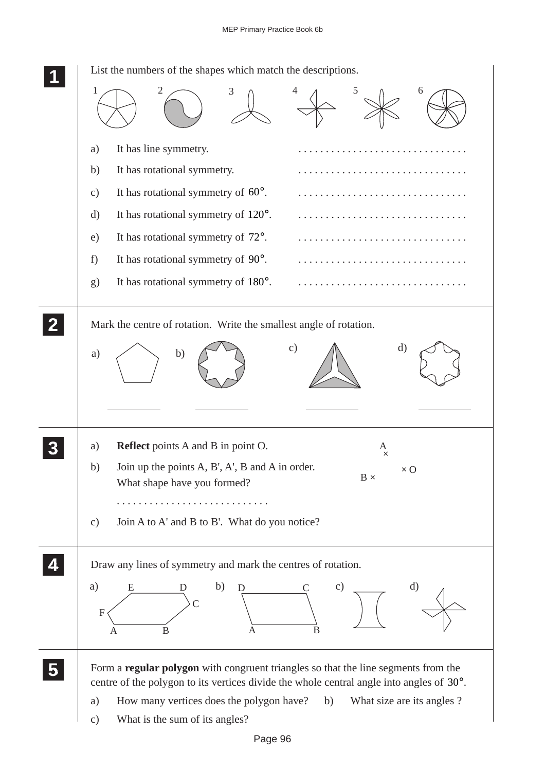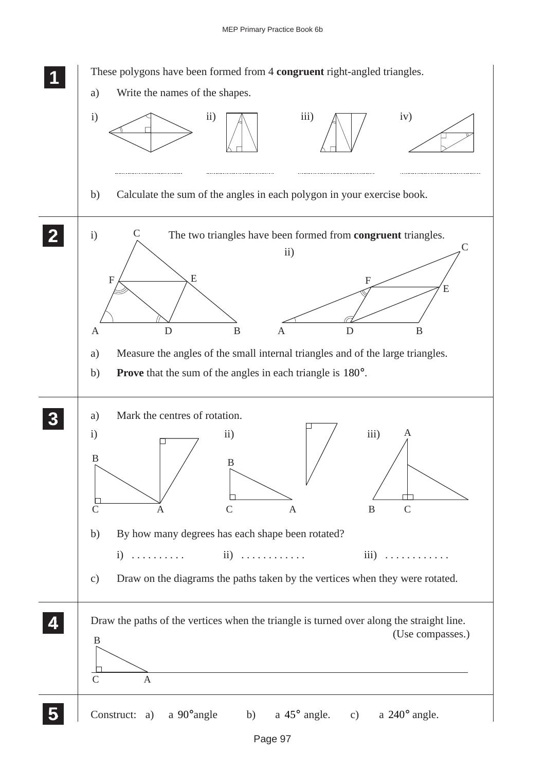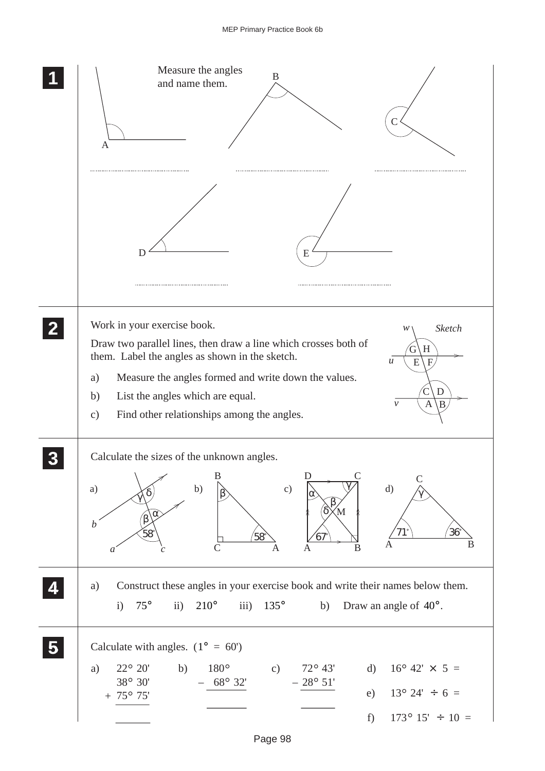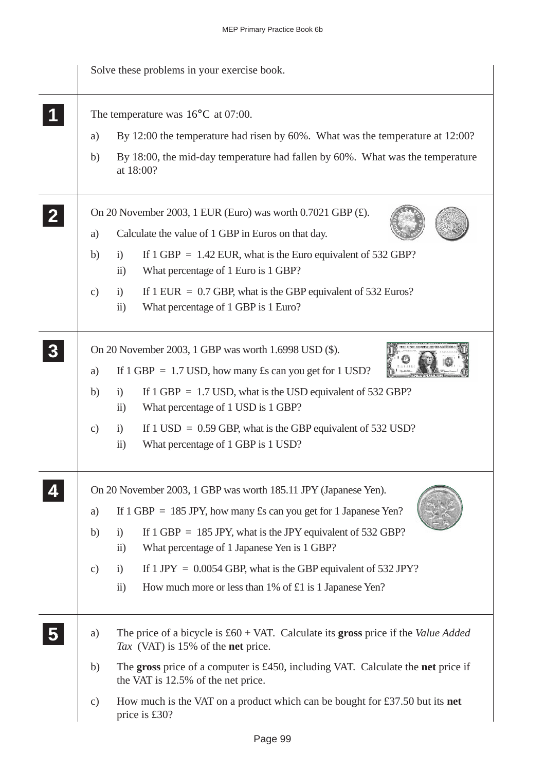|               | Solve these problems in your exercise book.                                                                                                             |  |  |  |  |  |  |
|---------------|---------------------------------------------------------------------------------------------------------------------------------------------------------|--|--|--|--|--|--|
|               | The temperature was $16^{\circ}$ C at 07:00.                                                                                                            |  |  |  |  |  |  |
| a)            | By 12:00 the temperature had risen by 60%. What was the temperature at 12:00?                                                                           |  |  |  |  |  |  |
| b)            | By 18:00, the mid-day temperature had fallen by 60%. What was the temperature<br>at 18:00?                                                              |  |  |  |  |  |  |
|               | On 20 November 2003, 1 EUR (Euro) was worth $0.7021$ GBP $(E)$ .                                                                                        |  |  |  |  |  |  |
| a)            | Calculate the value of 1 GBP in Euros on that day.                                                                                                      |  |  |  |  |  |  |
| b)            | If $1$ GBP = 1.42 EUR, what is the Euro equivalent of 532 GBP?<br>$\ddot{1}$<br>What percentage of 1 Euro is 1 GBP?<br>$\overline{11}$                  |  |  |  |  |  |  |
| $\mathbf{c})$ | If $1$ EUR = 0.7 GBP, what is the GBP equivalent of 532 Euros?<br>$\mathbf{i}$<br>What percentage of 1 GBP is 1 Euro?<br>$\ddot{\text{1}}$              |  |  |  |  |  |  |
| a)            | On 20 November 2003, 1 GBP was worth 1.6998 USD (\$).<br>If $1$ GBP = 1.7 USD, how many $\pounds$ s can you get for $1$ USD?                            |  |  |  |  |  |  |
| b)            | If $1$ GBP = 1.7 USD, what is the USD equivalent of 532 GBP?<br>$\ddot{1}$<br>What percentage of 1 USD is 1 GBP?<br>$\rm ii)$                           |  |  |  |  |  |  |
| $\mathbf{c})$ | If $1 \text{ USD} = 0.59 \text{ GBP}$ , what is the GBP equivalent of 532 USD?<br>$\ddot{1}$<br>What percentage of 1 GBP is 1 USD?<br>$\ddot{i}$        |  |  |  |  |  |  |
|               | On 20 November 2003, 1 GBP was worth 185.11 JPY (Japanese Yen).                                                                                         |  |  |  |  |  |  |
| a)            | If $1$ GBP = 185 JPY, how many £s can you get for 1 Japanese Yen?                                                                                       |  |  |  |  |  |  |
| b)            | If $1$ GBP = 185 JPY, what is the JPY equivalent of 532 GBP?<br>$\ddot{1}$                                                                              |  |  |  |  |  |  |
|               | $\overline{ii}$ )<br>What percentage of 1 Japanese Yen is 1 GBP?                                                                                        |  |  |  |  |  |  |
| $\mathbf{c})$ | If $1$ JPY = 0.0054 GBP, what is the GBP equivalent of 532 JPY?<br>$\mathbf{i}$<br>$\ddot{i}$<br>How much more or less than 1% of £1 is 1 Japanese Yen? |  |  |  |  |  |  |
| a)            | The price of a bicycle is $\text{\pounds}60 + \text{VAT}$ . Calculate its gross price if the Value Added<br>Tax (VAT) is 15% of the net price.          |  |  |  |  |  |  |
| b)            | The gross price of a computer is £450, including VAT. Calculate the net price if<br>the VAT is 12.5% of the net price.                                  |  |  |  |  |  |  |
| $\mathbf{c})$ | How much is the VAT on a product which can be bought for £37.50 but its net<br>price is £30?                                                            |  |  |  |  |  |  |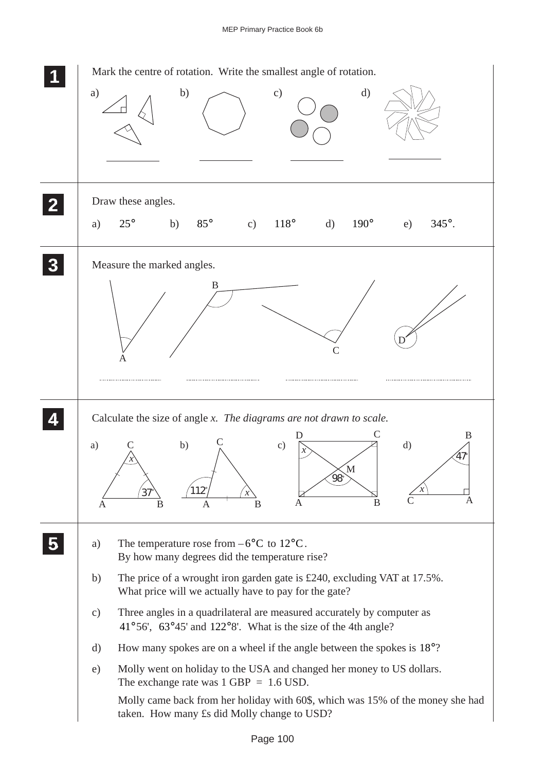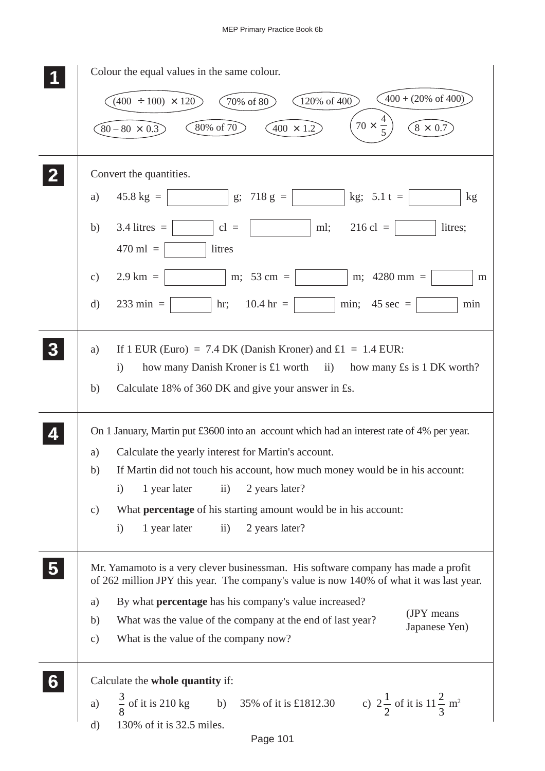|   | Colour the equal values in the same colour.                                                                                                                                  |
|---|------------------------------------------------------------------------------------------------------------------------------------------------------------------------------|
|   | $400 + (20\% \text{ of } 400)$<br>120% of 400<br>$(400 \div 100) \times 120$<br>70% of 80                                                                                    |
|   | $70 \times \frac{4}{5}$<br>80% of 70<br>$(400 \times 1.2)$<br>$8 \times 0.7$<br>$80 - 80 \times 0.3$                                                                         |
|   | Convert the quantities.                                                                                                                                                      |
|   | $45.8 \text{ kg} =$<br>g; $718 \text{ g} =$<br>kg; $5.1 t =$<br>a)<br>kg                                                                                                     |
|   | $3.4$ litres =<br>$216 \text{ cl } =$<br>litres;<br>b)<br>$cl =$<br>ml;<br>$470$ ml =<br>litres                                                                              |
|   | $2.9 \text{ km} =$<br>m; $53 \text{ cm} =$<br>m; $4280 \text{ mm} =$<br>$\mathbf{c})$<br>m                                                                                   |
|   | $233$ min =<br>$10.4 \text{ hr} =$<br>min; $45 \text{ sec} =$<br>$\mathrm{d}$<br>hr;<br>min                                                                                  |
|   | If 1 EUR (Euro) = 7.4 DK (Danish Kroner) and $\pounds1 = 1.4$ EUR:<br>a)<br>how many Danish Kroner is £1 worth ii)<br>how many £s is 1 DK worth?<br>$\mathbf{i}$             |
|   | Calculate 18% of 360 DK and give your answer in £s.<br>b)                                                                                                                    |
|   | On 1 January, Martin put £3600 into an account which had an interest rate of 4% per year.                                                                                    |
|   | Calculate the yearly interest for Martin's account.<br>a)                                                                                                                    |
|   | If Martin did not touch his account, how much money would be in his account:<br>b)                                                                                           |
|   | 1 year later<br>$\rm ii)$<br>2 years later?<br>$\mathbf{i}$                                                                                                                  |
|   | What <b>percentage</b> of his starting amount would be in his account:<br>$\mathcal{C}$ )                                                                                    |
|   | 2 years later?<br>1 year later<br>$\mathbf{ii}$<br>$\mathbf{i}$                                                                                                              |
|   | Mr. Yamamoto is a very clever businessman. His software company has made a profit<br>of 262 million JPY this year. The company's value is now 140% of what it was last year. |
|   | By what percentage has his company's value increased?<br>a)                                                                                                                  |
|   | (JPY means<br>What was the value of the company at the end of last year?<br>b)<br>Japanese Yen)                                                                              |
|   | What is the value of the company now?<br>$\mathbf{c})$                                                                                                                       |
| 6 | Calculate the whole quantity if:                                                                                                                                             |
|   | $\frac{3}{8}$ of it is 210 kg b) 35% of it is £1812.30<br>c) $2\frac{1}{2}$ of it is $11\frac{2}{3}$ m <sup>2</sup><br>a)                                                    |
|   | 130% of it is 32.5 miles.<br>$\rm d)$                                                                                                                                        |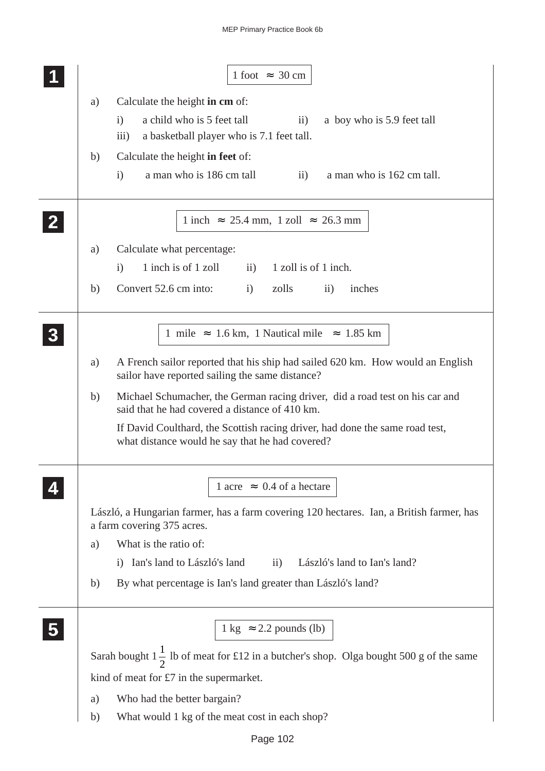|   | 1 foot $\approx$ 30 cm                                                                                                                                         |  |
|---|----------------------------------------------------------------------------------------------------------------------------------------------------------------|--|
|   | Calculate the height in cm of:<br>a)                                                                                                                           |  |
|   | a child who is 5 feet tall<br>$\mathbf{i}$<br>$\overline{11}$ )<br>a boy who is 5.9 feet tall<br>a basketball player who is 7.1 feet tall.<br>$\overline{iii}$ |  |
|   | Calculate the height in feet of:<br>b)                                                                                                                         |  |
|   | a man who is 186 cm tall<br>a man who is 162 cm tall.<br>$\mathbf{i}$<br>$\rm ii)$                                                                             |  |
|   | 1 inch $\approx$ 25.4 mm, 1 zoll $\approx$ 26.3 mm                                                                                                             |  |
|   | Calculate what percentage:<br>a)                                                                                                                               |  |
|   | 1 inch is of 1 zoll<br>1 zoll is of 1 inch.<br>$\mathbf{ii}$ )<br>$\mathbf{i}$                                                                                 |  |
|   | Convert 52.6 cm into:<br>zolls<br>i)<br>$\rm ii)$<br>inches<br>b)                                                                                              |  |
| 3 | 1 mile $\approx 1.6$ km, 1 Nautical mile $\approx 1.85$ km                                                                                                     |  |
|   | A French sailor reported that his ship had sailed 620 km. How would an English<br>a)<br>sailor have reported sailing the same distance?                        |  |
|   | Michael Schumacher, the German racing driver, did a road test on his car and<br>b)<br>said that he had covered a distance of 410 km.                           |  |
|   | If David Coulthard, the Scottish racing driver, had done the same road test,<br>what distance would he say that he had covered?                                |  |
|   | 1 acre $\approx 0.4$ of a hectare                                                                                                                              |  |
|   | László, a Hungarian farmer, has a farm covering 120 hectares. Ian, a British farmer, has<br>a farm covering 375 acres.                                         |  |
|   | What is the ratio of:<br>a)                                                                                                                                    |  |
|   | Ian's land to László's land<br>László's land to Ian's land?<br>$\rm ii)$<br>$\left(1\right)$                                                                   |  |
|   | By what percentage is Ian's land greater than László's land?<br>b)                                                                                             |  |
|   | $1 \text{ kg} \approx 2.2 \text{ pounds (lb)}$                                                                                                                 |  |
|   | Sarah bought $1\frac{1}{2}$ lb of meat for £12 in a butcher's shop. Olga bought 500 g of the same                                                              |  |
|   | kind of meat for $£7$ in the supermarket.                                                                                                                      |  |
|   |                                                                                                                                                                |  |
|   | Who had the better bargain?<br>a)<br>What would 1 kg of the meat cost in each shop?<br>b)                                                                      |  |
|   |                                                                                                                                                                |  |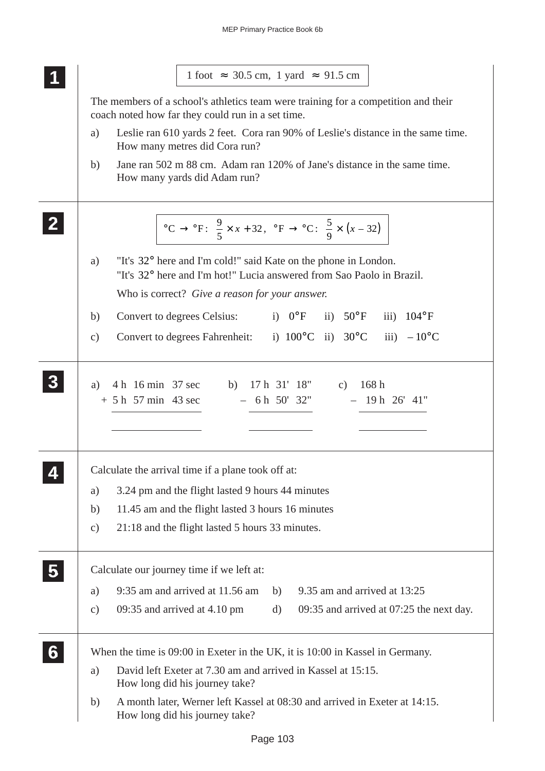|                     | $1$ foot $\approx$ 30.5 cm, 1 yard $\approx$ 91.5 cm                                                                                                                           |
|---------------------|--------------------------------------------------------------------------------------------------------------------------------------------------------------------------------|
|                     | The members of a school's athletics team were training for a competition and their<br>coach noted how far they could run in a set time.                                        |
| a)                  | Leslie ran 610 yards 2 feet. Cora ran 90% of Leslie's distance in the same time.<br>How many metres did Cora run?                                                              |
| b)                  | Jane ran 502 m 88 cm. Adam ran 120% of Jane's distance in the same time.<br>How many yards did Adam run?                                                                       |
|                     | °C → °F: $\frac{9}{5} \times x + 32$ , °F → °C: $\frac{5}{9} \times (x - 32)$                                                                                                  |
| a)                  | "It's 32° here and I'm cold!" said Kate on the phone in London.<br>"It's 32° here and I'm hot!" Lucia answered from Sao Paolo in Brazil.                                       |
|                     | Who is correct? Give a reason for your answer.                                                                                                                                 |
| b)<br>$\mathbf{c})$ | Convert to degrees Celsius: i) $0^{\circ}F$ ii) $50^{\circ}F$ iii) $104^{\circ}F$<br>Convert to degrees Fahrenheit: i) $100^{\circ}$ C ii) $30^{\circ}$ C iii) $-10^{\circ}$ C |
|                     |                                                                                                                                                                                |
|                     |                                                                                                                                                                                |
|                     |                                                                                                                                                                                |
|                     | Calculate the arrival time if a plane took off at:                                                                                                                             |
| a)                  | 3.24 pm and the flight lasted 9 hours 44 minutes                                                                                                                               |
| b)<br>$\mathbf{c})$ | 11.45 am and the flight lasted 3 hours 16 minutes<br>21:18 and the flight lasted 5 hours 33 minutes.                                                                           |
|                     |                                                                                                                                                                                |
|                     | Calculate our journey time if we left at:                                                                                                                                      |
| a)                  | 9:35 am and arrived at 11.56 am<br>9.35 am and arrived at 13:25<br>b)                                                                                                          |
| c)                  | 09:35 and arrived at $4.10 \text{ pm}$<br>d)                                                                                                                                   |
|                     | When the time is 09:00 in Exeter in the UK, it is 10:00 in Kassel in Germany.                                                                                                  |
| a)                  | 09:35 and arrived at 07:25 the next day.<br>David left Exeter at 7.30 am and arrived in Kassel at 15:15.<br>How long did his journey take?                                     |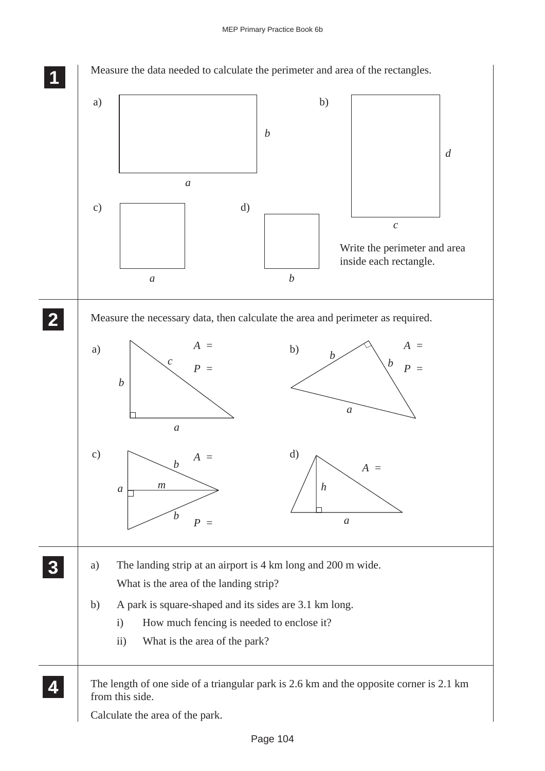## MEP Primary Practice Book 6b

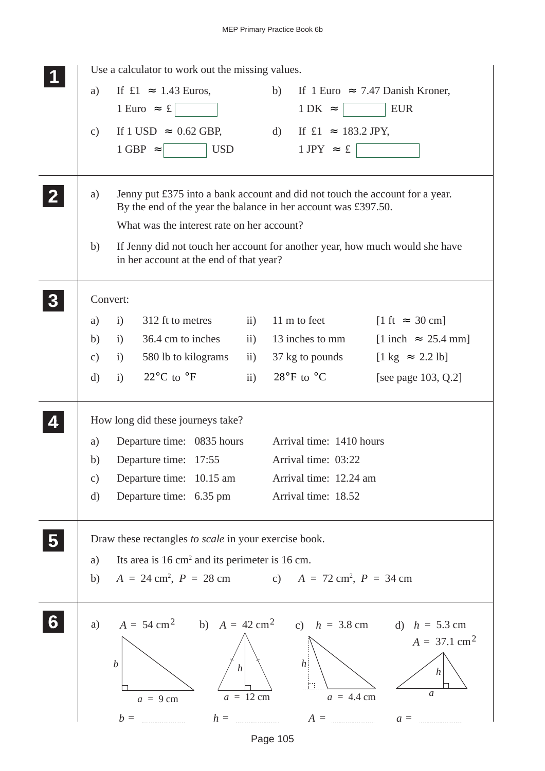|                                                                                                                               | Use a calculator to work out the missing values.                                                                                               |                                |                                                                                       |                                         |  |  |  |  |  |  |  |  |
|-------------------------------------------------------------------------------------------------------------------------------|------------------------------------------------------------------------------------------------------------------------------------------------|--------------------------------|---------------------------------------------------------------------------------------|-----------------------------------------|--|--|--|--|--|--|--|--|
| a)                                                                                                                            | If $\text{\pounds}1 \approx 1.43$ Euros,                                                                                                       |                                | b)<br>If 1 Euro $\approx 7.47$ Danish Kroner,<br><b>EUR</b><br>$1 \text{ DK} \approx$ |                                         |  |  |  |  |  |  |  |  |
|                                                                                                                               | $1 \text{ Euro} \approx \text{\pounds}$                                                                                                        |                                |                                                                                       |                                         |  |  |  |  |  |  |  |  |
| $\mathbf{c})$                                                                                                                 | If 1 USD $\approx 0.62$ GBP,                                                                                                                   |                                | d) If $\pounds1 \approx 183.2 \text{ JPY}$ ,                                          |                                         |  |  |  |  |  |  |  |  |
|                                                                                                                               | <b>USD</b><br>$1$ GBP $\approx$                                                                                                                |                                | $1$ JPY $\approx$ £                                                                   |                                         |  |  |  |  |  |  |  |  |
|                                                                                                                               |                                                                                                                                                |                                |                                                                                       |                                         |  |  |  |  |  |  |  |  |
| a)                                                                                                                            | Jenny put £375 into a bank account and did not touch the account for a year.<br>By the end of the year the balance in her account was £397.50. |                                |                                                                                       |                                         |  |  |  |  |  |  |  |  |
|                                                                                                                               | What was the interest rate on her account?                                                                                                     |                                |                                                                                       |                                         |  |  |  |  |  |  |  |  |
| If Jenny did not touch her account for another year, how much would she have<br>b)<br>in her account at the end of that year? |                                                                                                                                                |                                |                                                                                       |                                         |  |  |  |  |  |  |  |  |
|                                                                                                                               | Convert:                                                                                                                                       |                                |                                                                                       |                                         |  |  |  |  |  |  |  |  |
| a)                                                                                                                            | 312 ft to metres<br>i)                                                                                                                         | $\mathbf{ii}$                  | 11 m to feet                                                                          | $[1 \text{ ft} \approx 30 \text{ cm}]$  |  |  |  |  |  |  |  |  |
| b)                                                                                                                            | 36.4 cm to inches<br>i)                                                                                                                        | $\ddot{\mathbf{i}}$            | 13 inches to mm                                                                       | $[1$ inch $\approx 25.4$ mm]            |  |  |  |  |  |  |  |  |
| c)                                                                                                                            | 580 lb to kilograms<br>i)                                                                                                                      | $\mathbf{ii}$ )                | 37 kg to pounds                                                                       | $[1 \text{ kg} \approx 2.2 \text{ lb}]$ |  |  |  |  |  |  |  |  |
| $\mathrm{d}$                                                                                                                  | 22 $\rm{^{\circ}C}$ to $\rm{^{\circ}F}$<br>i)                                                                                                  | $\overline{11}$ )              | 28 $\mathrm{^{\circ}F}$ to $\mathrm{^{\circ}C}$                                       | [see page 103, Q.2]                     |  |  |  |  |  |  |  |  |
|                                                                                                                               | How long did these journeys take?                                                                                                              |                                |                                                                                       |                                         |  |  |  |  |  |  |  |  |
| a)                                                                                                                            | Departure time: 0835 hours                                                                                                                     |                                | Arrival time: 1410 hours                                                              |                                         |  |  |  |  |  |  |  |  |
| b)                                                                                                                            | Departure time: 17:55                                                                                                                          |                                | Arrival time: 03:22                                                                   |                                         |  |  |  |  |  |  |  |  |
| $\mathbf{c})$                                                                                                                 | Departure time: 10.15 am                                                                                                                       |                                | Arrival time: 12.24 am                                                                |                                         |  |  |  |  |  |  |  |  |
| $\mathrm{d}$                                                                                                                  | Departure time: 6.35 pm                                                                                                                        |                                | Arrival time: 18.52                                                                   |                                         |  |  |  |  |  |  |  |  |
|                                                                                                                               | Draw these rectangles to scale in your exercise book.                                                                                          |                                |                                                                                       |                                         |  |  |  |  |  |  |  |  |
| a)                                                                                                                            | Its area is $16 \text{ cm}^2$ and its perimeter is $16 \text{ cm}$ .                                                                           |                                |                                                                                       |                                         |  |  |  |  |  |  |  |  |
| b)                                                                                                                            | $A = 24$ cm <sup>2</sup> , $P = 28$ cm c) $A = 72$ cm <sup>2</sup> , $P = 34$ cm                                                               |                                |                                                                                       |                                         |  |  |  |  |  |  |  |  |
| a)                                                                                                                            | $A = 54 \text{ cm}^2$ b) $A = 42 \text{ cm}^2$ c) $h = 3.8 \text{ cm}$ d) $h = 5.3 \text{ cm}$                                                 |                                |                                                                                       | $A = 37.1 \text{ cm}^2$                 |  |  |  |  |  |  |  |  |
|                                                                                                                               | $\boldsymbol{b}$<br>$a = 9$ cm                                                                                                                 | $\vert h \vert$<br>$a = 12$ cm | $\boldsymbol{h}$<br>$a = 4.4$ cm                                                      | h<br>a                                  |  |  |  |  |  |  |  |  |
|                                                                                                                               | $b =$                                                                                                                                          | $h =$                          | $A =$                                                                                 | $a =$                                   |  |  |  |  |  |  |  |  |
|                                                                                                                               |                                                                                                                                                |                                | Page 105                                                                              |                                         |  |  |  |  |  |  |  |  |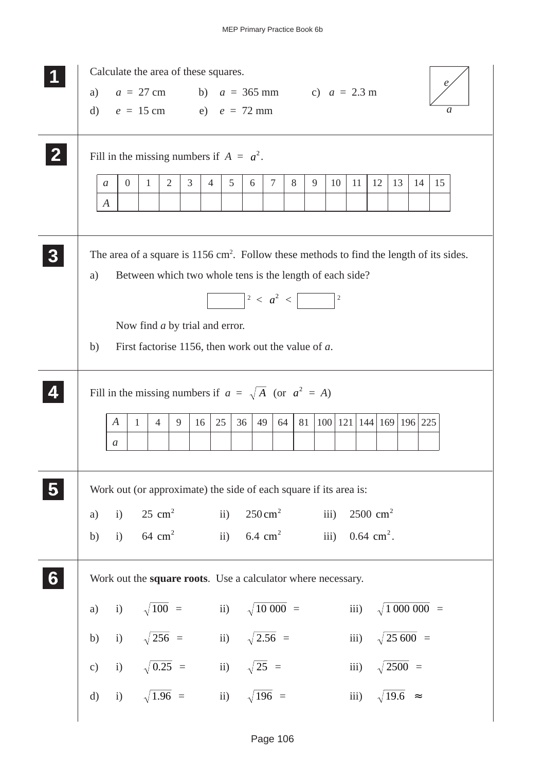|   | Calculate the area of these squares.                                                                                                                                     |  |  |  |  |  |  |  |  |  |  |
|---|--------------------------------------------------------------------------------------------------------------------------------------------------------------------------|--|--|--|--|--|--|--|--|--|--|
|   | $a = 27$ cm b) $a = 365$ mm c) $a = 2.3$ m<br>a)                                                                                                                         |  |  |  |  |  |  |  |  |  |  |
|   | $e = 15$ cm e) $e = 72$ mm<br>$\rm d$<br>a                                                                                                                               |  |  |  |  |  |  |  |  |  |  |
|   | Fill in the missing numbers if $A = a^2$ .                                                                                                                               |  |  |  |  |  |  |  |  |  |  |
|   | $\mathfrak{Z}$<br>$5\overline{)}$<br>$\tau$<br>$\overline{2}$<br>8<br>9<br>10<br>11<br>12<br>13<br>14<br>$\overline{0}$<br>$\mathbf{1}$<br>4<br>15<br>6<br>$\mathfrak a$ |  |  |  |  |  |  |  |  |  |  |
|   | $\boldsymbol{A}$                                                                                                                                                         |  |  |  |  |  |  |  |  |  |  |
|   |                                                                                                                                                                          |  |  |  |  |  |  |  |  |  |  |
|   | The area of a square is $1156 \text{ cm}^2$ . Follow these methods to find the length of its sides.<br>Between which two whole tens is the length of each side?<br>a)    |  |  |  |  |  |  |  |  |  |  |
|   |                                                                                                                                                                          |  |  |  |  |  |  |  |  |  |  |
|   |                                                                                                                                                                          |  |  |  |  |  |  |  |  |  |  |
|   | Now find <i>a</i> by trial and error.                                                                                                                                    |  |  |  |  |  |  |  |  |  |  |
|   | First factorise 1156, then work out the value of $a$ .<br>b)                                                                                                             |  |  |  |  |  |  |  |  |  |  |
|   | Fill in the missing numbers if $a = \sqrt{A}$ (or $a^2 = A$ )                                                                                                            |  |  |  |  |  |  |  |  |  |  |
|   | 100   121   144   169   196   225<br>25<br>36<br>81<br>9<br>49<br>64<br>A<br>1<br>$\overline{4}$<br>16                                                                   |  |  |  |  |  |  |  |  |  |  |
|   | a                                                                                                                                                                        |  |  |  |  |  |  |  |  |  |  |
|   |                                                                                                                                                                          |  |  |  |  |  |  |  |  |  |  |
|   | Work out (or approximate) the side of each square if its area is:                                                                                                        |  |  |  |  |  |  |  |  |  |  |
|   | $250 \text{ cm}^2$<br>$25 \text{ cm}^2$ ii)<br>$2500 \text{ cm}^2$<br>iii)<br>i)<br>a)                                                                                   |  |  |  |  |  |  |  |  |  |  |
|   | i) $64 \text{ cm}^2$<br>ii) $6.4 \text{ cm}^2$<br>iii) $0.64 \text{ cm}^2$ .<br>b)                                                                                       |  |  |  |  |  |  |  |  |  |  |
| 6 | Work out the square roots. Use a calculator where necessary.                                                                                                             |  |  |  |  |  |  |  |  |  |  |
|   | i) $\sqrt{100}$ = ii) $\sqrt{10000}$ =<br>iii) $\sqrt{1\,000\,000}$ =<br>a)                                                                                              |  |  |  |  |  |  |  |  |  |  |
|   | i) $\sqrt{256}$ = ii) $\sqrt{2.56}$ =<br>iii) $\sqrt{25\,600}$ =<br>b)                                                                                                   |  |  |  |  |  |  |  |  |  |  |
|   | i) $\sqrt{0.25}$ = ii) $\sqrt{25}$ =<br>iii) $\sqrt{2500}$ =<br>c)                                                                                                       |  |  |  |  |  |  |  |  |  |  |
|   | i) $\sqrt{1.96}$ = ii) $\sqrt{196}$ =<br>iii) $\sqrt{19.6}$ $\approx$<br>$\mathbf{d}$                                                                                    |  |  |  |  |  |  |  |  |  |  |
|   |                                                                                                                                                                          |  |  |  |  |  |  |  |  |  |  |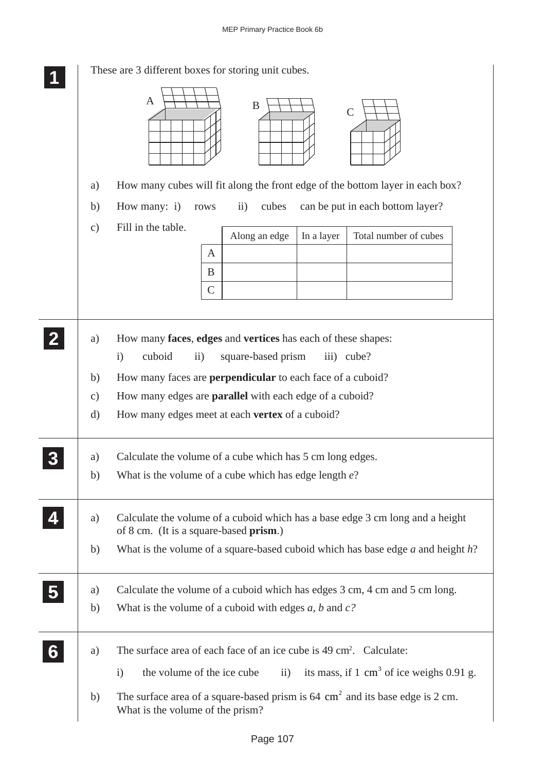|   | These are 3 different boxes for storing unit cubes. |                                                                                                                                                 |  |  |  |  |  |  |
|---|-----------------------------------------------------|-------------------------------------------------------------------------------------------------------------------------------------------------|--|--|--|--|--|--|
|   |                                                     | $\mathbf{A}$<br>$\boldsymbol{B}$<br>$\mathcal{C}$                                                                                               |  |  |  |  |  |  |
|   | a)                                                  | How many cubes will fit along the front edge of the bottom layer in each box?                                                                   |  |  |  |  |  |  |
|   | b)                                                  | can be put in each bottom layer?<br>How many: i)<br>$\ddot{i}$<br>cubes<br>rows                                                                 |  |  |  |  |  |  |
|   | $\mathbf{c})$                                       | Fill in the table.                                                                                                                              |  |  |  |  |  |  |
|   |                                                     | Along an edge<br>In a layer<br>Total number of cubes<br>A                                                                                       |  |  |  |  |  |  |
|   |                                                     | B                                                                                                                                               |  |  |  |  |  |  |
|   |                                                     | $\mathcal{C}$                                                                                                                                   |  |  |  |  |  |  |
|   |                                                     |                                                                                                                                                 |  |  |  |  |  |  |
|   | a)                                                  | How many faces, edges and vertices has each of these shapes:<br>cuboid<br>square-based prism<br>$\mathbf{i}$<br>$\overline{ii}$ )<br>iii) cube? |  |  |  |  |  |  |
|   | b)                                                  | How many faces are <b>perpendicular</b> to each face of a cuboid?                                                                               |  |  |  |  |  |  |
|   | $\mathbf{c})$                                       | How many edges are <b>parallel</b> with each edge of a cuboid?                                                                                  |  |  |  |  |  |  |
|   | d)                                                  | How many edges meet at each <b>vertex</b> of a cuboid?                                                                                          |  |  |  |  |  |  |
|   | a)                                                  | Calculate the volume of a cube which has 5 cm long edges.                                                                                       |  |  |  |  |  |  |
|   | b)                                                  | What is the volume of a cube which has edge length $e$ ?                                                                                        |  |  |  |  |  |  |
|   | a)                                                  | Calculate the volume of a cuboid which has a base edge 3 cm long and a height<br>of 8 cm. (It is a square-based prism.)                         |  |  |  |  |  |  |
|   | b)                                                  | What is the volume of a square-based cuboid which has base edge $a$ and height $h$ ?                                                            |  |  |  |  |  |  |
|   | a)                                                  | Calculate the volume of a cuboid which has edges 3 cm, 4 cm and 5 cm long.                                                                      |  |  |  |  |  |  |
|   | b)                                                  | What is the volume of a cuboid with edges $a$ , $b$ and $c$ ?                                                                                   |  |  |  |  |  |  |
| 6 | a)                                                  | The surface area of each face of an ice cube is 49 cm <sup>2</sup> . Calculate:                                                                 |  |  |  |  |  |  |
|   |                                                     | its mass, if $1 \text{ cm}^3$ of ice weighs 0.91 g.<br>the volume of the ice cube<br>$\mathbf{i}$<br>$\rm ii)$                                  |  |  |  |  |  |  |
|   | b)                                                  | The surface area of a square-based prism is $64 \text{ cm}^2$ and its base edge is 2 cm.<br>What is the volume of the prism?                    |  |  |  |  |  |  |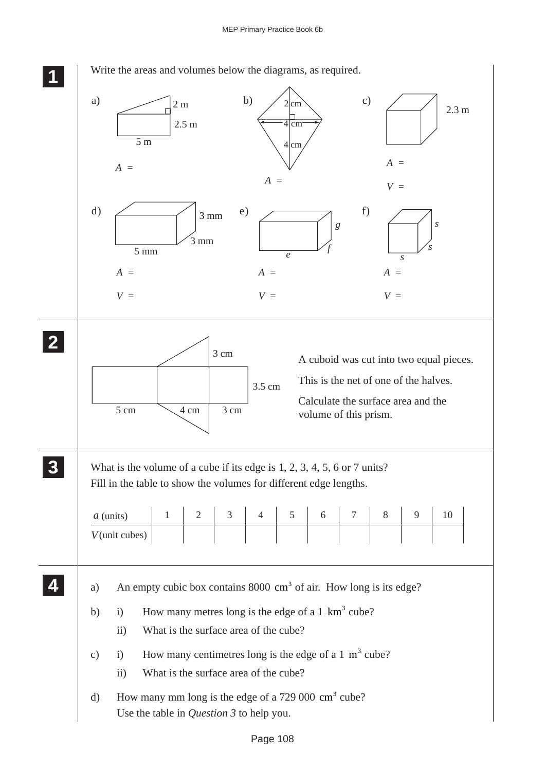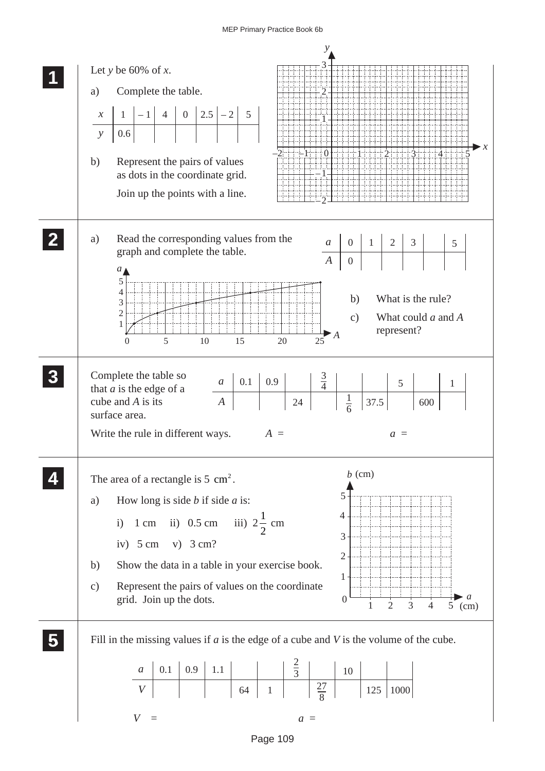